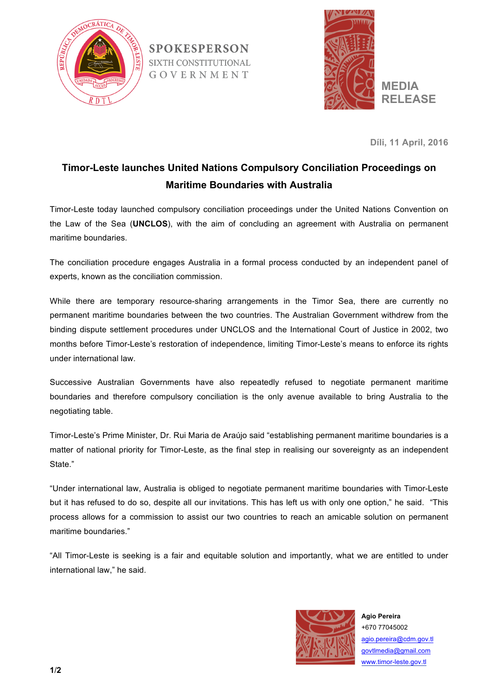

**SPOKESPERSON SIXTH CONSTITUTIONAL** GOVERNMENT



**Díli, 11 April, 2016**

## **Timor-Leste launches United Nations Compulsory Conciliation Proceedings on Maritime Boundaries with Australia**

Timor-Leste today launched compulsory conciliation proceedings under the United Nations Convention on the Law of the Sea (**UNCLOS**), with the aim of concluding an agreement with Australia on permanent maritime boundaries.

The conciliation procedure engages Australia in a formal process conducted by an independent panel of experts, known as the conciliation commission.

While there are temporary resource-sharing arrangements in the Timor Sea, there are currently no permanent maritime boundaries between the two countries. The Australian Government withdrew from the binding dispute settlement procedures under UNCLOS and the International Court of Justice in 2002, two months before Timor-Leste's restoration of independence, limiting Timor-Leste's means to enforce its rights under international law.

Successive Australian Governments have also repeatedly refused to negotiate permanent maritime boundaries and therefore compulsory conciliation is the only avenue available to bring Australia to the negotiating table.

Timor-Leste's Prime Minister, Dr. Rui Maria de Araújo said "establishing permanent maritime boundaries is a matter of national priority for Timor-Leste, as the final step in realising our sovereignty as an independent State."

"Under international law, Australia is obliged to negotiate permanent maritime boundaries with Timor-Leste but it has refused to do so, despite all our invitations. This has left us with only one option," he said. "This process allows for a commission to assist our two countries to reach an amicable solution on permanent maritime boundaries."

"All Timor-Leste is seeking is a fair and equitable solution and importantly, what we are entitled to under international law," he said.



**Agio Pereira** +670 77045002 agio.pereira@cdm.gov.tl govtlmedia@gmail.com www.timor-leste.gov.tl